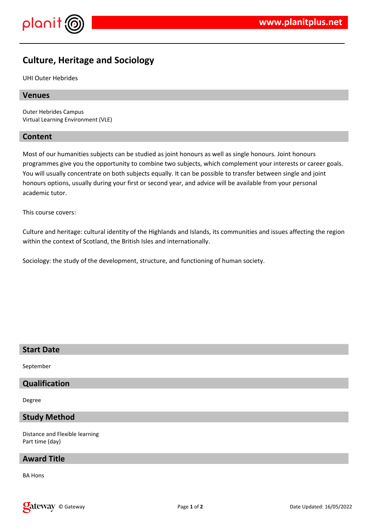

# **Culture, Heritage and Sociology**

UHI Outer Hebrides

#### **Venues**

Outer Hebrides Campus Virtual Learning Environment (VLE)

#### **Content**

Most of our humanities subjects can be studied as joint honours as well as single honours. Joint honours programmes give you the opportunity to combine two subjects, which complement your interests or career goals. You will usually concentrate on both subjects equally. It can be possible to transfer between single and joint honours options, usually during your first or second year, and advice will be available from your personal academic tutor.

This course covers:

Culture and heritage: cultural identity of the Highlands and Islands, its communities and issues affecting the region within the context of Scotland, the British Isles and internationally.

Sociology: the study of the development, structure, and functioning of human society.

# **Start Date**

September

# **Qualification**

Degree

## **Study Method**

Distance and Flexible learning Part time (day)

#### **Award Title**

BA Hons